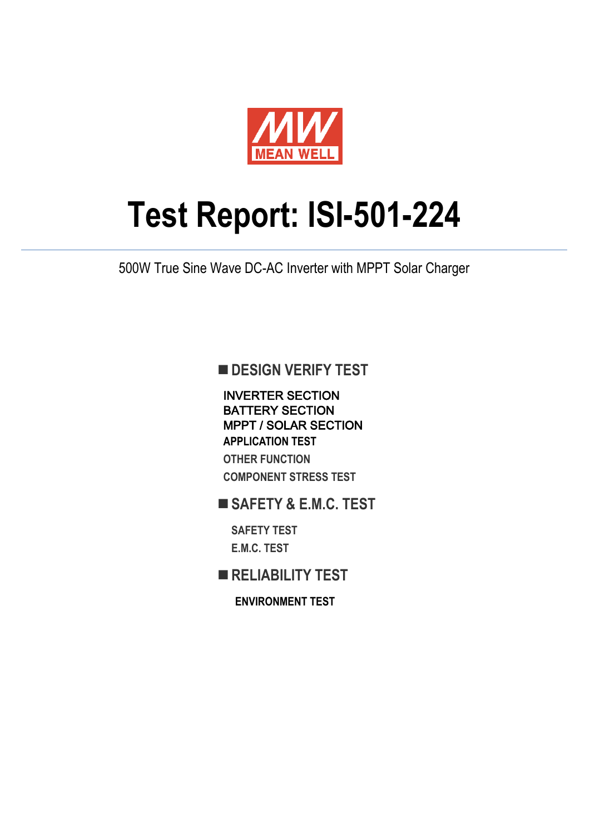

# **Test Report: ISI-501-224**

500W True Sine Wave DC-AC Inverter with MPPT Solar Charger

**DESIGN VERIFY TEST** 

INVERTER SECTION BATTERY SECTION MPPT / SOLAR SECTION **APPLICATION TEST OTHER FUNCTION COMPONENT STRESS TEST**

**SAFETY & E.M.C. TEST**

**SAFETY TEST E.M.C. TEST**

**RELIABILITY TEST**

**ENVIRONMENT TEST**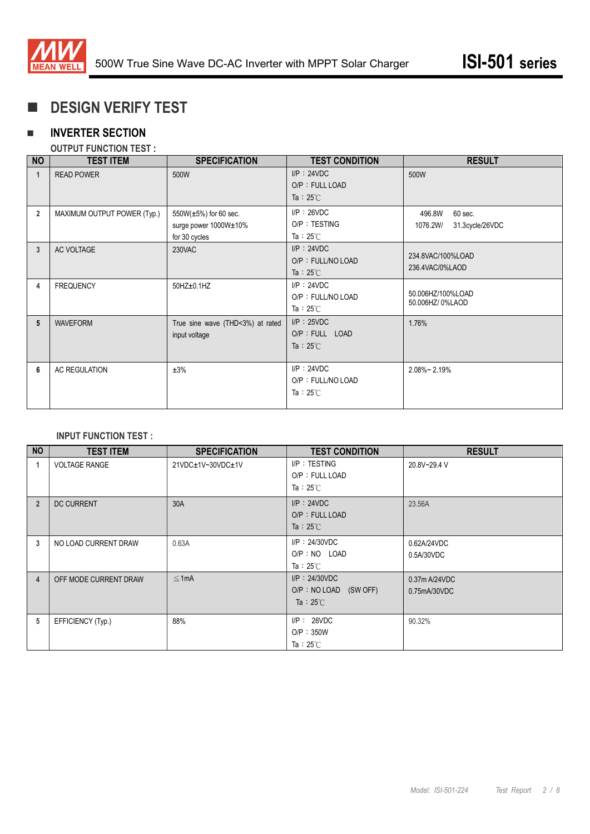

# **DESIGN VERIFY TEST**

## **INVERTER SECTION**

#### **OUTPUT FUNCTION TEST :**

| <b>NO</b>      | <b>TEST ITEM</b>            | <b>SPECIFICATION</b>                                            | <b>TEST CONDITION</b>                                    | <b>RESULT</b>                                    |
|----------------|-----------------------------|-----------------------------------------------------------------|----------------------------------------------------------|--------------------------------------------------|
| 1              | <b>READ POWER</b>           | 500W                                                            | $I/P$ : 24VDC<br>O/P: FULL LOAD<br>Ta: $25^{\circ}$ C    | 500W                                             |
| $\overline{2}$ | MAXIMUM OUTPUT POWER (Typ.) | 550W(±5%) for 60 sec.<br>surge power 1000W±10%<br>for 30 cycles | $I/P$ : 26VDC<br>O/P: TESTING<br>Ta: $25^{\circ}$ C      | 496.8W<br>60 sec.<br>31.3cycle/26VDC<br>1076.2W/ |
| 3              | AC VOLTAGE                  | 230VAC                                                          | $I/P$ : 24VDC<br>O/P: FULL/NO LOAD<br>Ta: $25^{\circ}$ C | 234.8VAC/100%LOAD<br>236.4VAC/0%LAOD             |
| 4              | <b>FREQUENCY</b>            | $50HZ \pm 0.1HZ$                                                | $I/P$ : 24VDC<br>O/P: FULL/NO LOAD<br>Ta: $25^{\circ}$ C | 50.006HZ/100%LOAD<br>50.006HZ/0%LAOD             |
| 5              | <b>WAVEFORM</b>             | True sine wave (THD<3%) at rated<br>input voltage               | $I/P$ : 25VDC<br>O/P : FULL LOAD<br>Ta: $25^{\circ}$ C   | 1.76%                                            |
| 6              | <b>AC REGULATION</b>        | ±3%                                                             | $I/P$ : 24VDC<br>O/P: FULL/NO LOAD<br>Ta: $25^{\circ}$ C | $2.08\%$ ~ 2.19%                                 |

#### **INPUT FUNCTION TEST :**

| <b>NO</b>      | <b>TEST ITEM</b>      | <b>SPECIFICATION</b> | <b>TEST CONDITION</b>    | <b>RESULT</b>    |
|----------------|-----------------------|----------------------|--------------------------|------------------|
|                | <b>VOLTAGE RANGE</b>  | 21VDC±1V~30VDC±1V    | I/P: TESTING             | 20.8V~29.4 V     |
|                |                       |                      | O/P: FULL LOAD           |                  |
|                |                       |                      | Ta: $25^{\circ}$ C       |                  |
| $\overline{2}$ | <b>DC CURRENT</b>     | 30A                  | $I/P$ : 24VDC            | 23.56A           |
|                |                       |                      | O/P: FULL LOAD           |                  |
|                |                       |                      | Ta: $25^{\circ}$ C       |                  |
| 3              | NO LOAD CURRENT DRAW  | 0.63A                | $I/P$ : 24/30VDC         | 0.62A/24VDC      |
|                |                       |                      | $O/P : NO$ LOAD          | 0.5A/30VDC       |
|                |                       |                      | Ta: $25^{\circ}$ C       |                  |
| 4              | OFF MODE CURRENT DRAW | $\leq 1$ mA          | $I/P$ : 24/30VDC         | $0.37$ m A/24VDC |
|                |                       |                      | O/P: NO LOAD<br>(SW OFF) | 0.75mA/30VDC     |
|                |                       |                      | Ta : $25^{\circ}$ C      |                  |
| 5              | EFFICIENCY (Typ.)     | 88%                  | $I/P$ : 26VDC            | 90.32%           |
|                |                       |                      | O/P: 350W                |                  |
|                |                       |                      | Ta: $25^{\circ}$ C       |                  |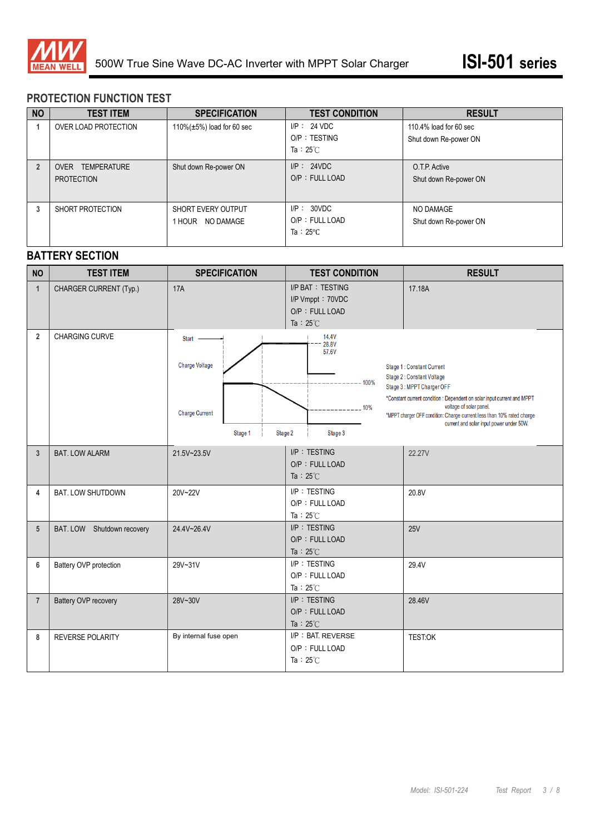

#### **PROTECTION FUNCTION TEST**

| <b>NO</b>      | <b>TEST ITEM</b>                      | <b>SPECIFICATION</b>                             | <b>TEST CONDITION</b>                              | <b>RESULT</b>                                   |
|----------------|---------------------------------------|--------------------------------------------------|----------------------------------------------------|-------------------------------------------------|
|                | OVER LOAD PROTECTION                  | 110% $(\pm 5\%)$ load for 60 sec                 | $I/P$ : 24 VDC<br>O/P: TESTING<br>Ta: $25^\circ$ C | 110.4% load for 60 sec<br>Shut down Re-power ON |
| $\overline{2}$ | OVER TEMPERATURE<br><b>PROTECTION</b> | Shut down Re-power ON                            | I/P: 24VDC<br>O/P: FULL LOAD                       | O.T.P. Active<br>Shut down Re-power ON          |
| 3              | SHORT PROTECTION                      | <b>SHORT EVERY OUTPUT</b><br>NO DAMAGE<br>1 HOUR | I/P: 30VDC<br>O/P: FULL LOAD<br>Ta: $25^{\circ}$ C | NO DAMAGE<br>Shut down Re-power ON              |

### **BATTERY SECTION**

| <b>NO</b>      | <b>TEST ITEM</b>           | <b>SPECIFICATION</b>                                                              | <b>TEST CONDITION</b>                                                               | <b>RESULT</b>                                                                                                                                                                                                                                                                                                                 |
|----------------|----------------------------|-----------------------------------------------------------------------------------|-------------------------------------------------------------------------------------|-------------------------------------------------------------------------------------------------------------------------------------------------------------------------------------------------------------------------------------------------------------------------------------------------------------------------------|
| $\mathbf{1}$   | CHARGER CURRENT (Typ.)     | <b>17A</b>                                                                        | <b>I/P BAT: TESTING</b><br>I/P Vmppt: 70VDC<br>O/P: FULL LOAD<br>Ta: $25^{\circ}$ C | 17.18A                                                                                                                                                                                                                                                                                                                        |
| $\overline{2}$ | <b>CHARGING CURVE</b>      | $Start -$<br><b>Charge Voltage</b><br><b>Charge Current</b><br>Stage 1<br>Stage 2 | 14.4V<br>28.8V<br>57.6V<br>$-----100%$<br>$--- 10%$<br>Stage 3                      | <b>Stage 1: Constant Current</b><br><b>Stage 2: Constant Voltage</b><br>Stage 3: MPPT Charger OFF<br>*Constant current condition : Dependent on solar input current and MPPT<br>voltage of solar panel.<br>*MPPT charger OFF condition: Charge current less than 10% rated charge<br>current and solar input power under 50W. |
| 3              | <b>BAT. LOW ALARM</b>      | 21.5V~23.5V                                                                       | I/P: TESTING<br>O/P: FULL LOAD<br>Ta: $25^{\circ}$ C                                | 22.27V                                                                                                                                                                                                                                                                                                                        |
| 4              | <b>BAT. LOW SHUTDOWN</b>   | 20V~22V                                                                           | I/P: TESTING<br>O/P: FULL LOAD<br>Ta: $25^\circ$ C                                  | 20.8V                                                                                                                                                                                                                                                                                                                         |
| 5              | BAT. LOW Shutdown recovery | 24.4V~26.4V                                                                       | I/P: TESTING<br>O/P: FULL LOAD<br>Ta: $25^{\circ}$ C                                | 25V                                                                                                                                                                                                                                                                                                                           |
| 6              | Battery OVP protection     | 29V~31V                                                                           | I/P: TESTING<br>O/P: FULL LOAD<br>Ta: $25^{\circ}$ C                                | 29.4V                                                                                                                                                                                                                                                                                                                         |
| $\overline{7}$ | Battery OVP recovery       | 28V~30V                                                                           | I/P: TESTING<br>O/P: FULL LOAD<br>Ta : $25^{\circ}$ C                               | 28.46V                                                                                                                                                                                                                                                                                                                        |
| 8              | REVERSE POLARITY           | By internal fuse open                                                             | I/P: BAT. REVERSE<br>O/P: FULL LOAD<br>Ta: $25^{\circ}$ C                           | <b>TEST:OK</b>                                                                                                                                                                                                                                                                                                                |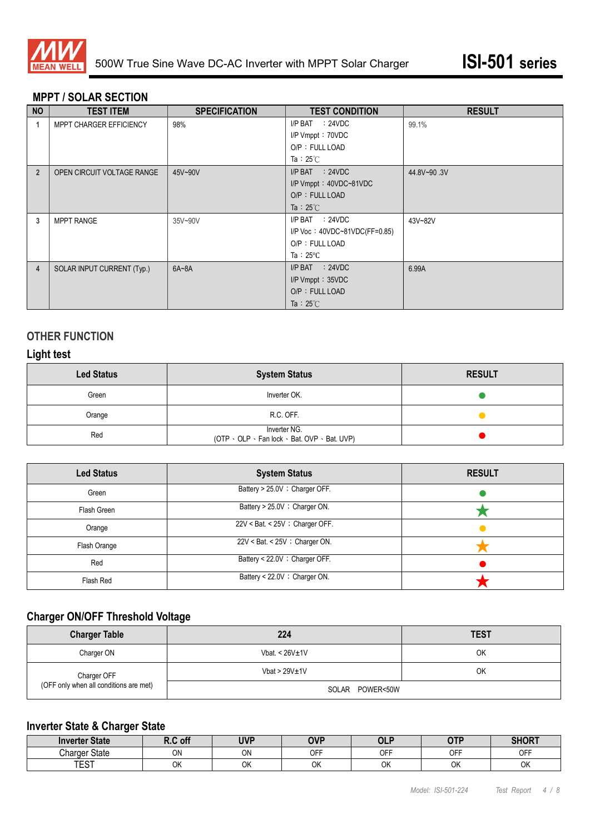

#### **MPPT / SOLAR SECTION**

| <b>NO</b>      | <b>TEST ITEM</b>           | <b>SPECIFICATION</b> | <b>TEST CONDITION</b>             | <b>RESULT</b> |
|----------------|----------------------------|----------------------|-----------------------------------|---------------|
|                | MPPT CHARGER EFFICIENCY    | 98%                  | $I/P$ BAT : 24VDC                 | 99.1%         |
|                |                            |                      | I/P Vmppt: 70VDC                  |               |
|                |                            |                      | O/P: FULL LOAD                    |               |
|                |                            |                      | Ta: $25^{\circ}$ C                |               |
| $\overline{2}$ | OPEN CIRCUIT VOLTAGE RANGE | 45V~90V              | $I/P$ BAT : 24VDC                 | 44.8V~90.3V   |
|                |                            |                      | $I/P$ Vmppt: $40VDC - 81VDC$      |               |
|                |                            |                      | O/P: FULL LOAD                    |               |
|                |                            |                      | Ta : $25^{\circ}$ C               |               |
| 3              | <b>MPPT RANGE</b>          | 35V~90V              | $I/P$ BAT : 24VDC                 | 43V~82V       |
|                |                            |                      | $I/P$ Voc: $40VDC-81VDC(FF=0.85)$ |               |
|                |                            |                      | O/P: FULL LOAD                    |               |
|                |                            |                      | Ta: $25^{\circ}$ C                |               |
| 4              | SOLAR INPUT CURRENT (Typ.) | $6A - 8A$            | $I/P$ BAT : 24VDC                 | 6.99A         |
|                |                            |                      | I/P Vmppt: 35VDC                  |               |
|                |                            |                      | O/P: FULL LOAD                    |               |
|                |                            |                      | Ta : $25^{\circ}$ C               |               |

#### **OTHER FUNCTION**

### **Light test**

| <b>Led Status</b> | <b>System Status</b>                                         | <b>RESULT</b> |
|-------------------|--------------------------------------------------------------|---------------|
| Green             | Inverter OK.                                                 |               |
| Orange            | R.C. OFF.                                                    |               |
| Red               | Inverter NG.<br>(OTP · OLP · Fan lock · Bat. OVP · Bat. UVP) |               |

| <b>Led Status</b> | <b>System Status</b>               | <b>RESULT</b> |
|-------------------|------------------------------------|---------------|
| Green             | Battery > 25.0V ; Charger OFF.     |               |
| Flash Green       | Battery > 25.0V ; Charger ON.      |               |
| Orange            | 22V < Bat. < 25V ; Charger OFF.    |               |
| Flash Orange      | $22V <$ Bat. < $25V$ ; Charger ON. |               |
| Red               | Battery < 22.0V ; Charger OFF.     |               |
| Flash Red         | Battery < 22.0V ; Charger ON.      |               |

# **Charger ON/OFF Threshold Voltage**

| <b>Charger Table</b>                   | 224              | <b>TEST</b> |
|----------------------------------------|------------------|-------------|
| Charger ON                             | Vbat. < $26V±1V$ | OK          |
| Charger OFF                            | Vbat > $29V±1V$  | OK          |
| (OFF only when all conditions are met) | SOLAR POWER<50W  |             |

# **Inverter State & Charger State**

| <b>Inverter State</b> | R.C off      | <b>UVP</b> | <b>OVP</b> | <b>OLP</b> | <b>OTP</b>         | <b>SHORT</b> |
|-----------------------|--------------|------------|------------|------------|--------------------|--------------|
| <b>Charger State</b>  | ON           | ON         | <b>OFF</b> | OFF        | <b>OCC</b><br>. וש | OFF          |
| <b>TEAT</b><br>ا ت∟ا  | $\sim$<br>UN | OK         | ОΚ         | OK         | ОK                 | OK           |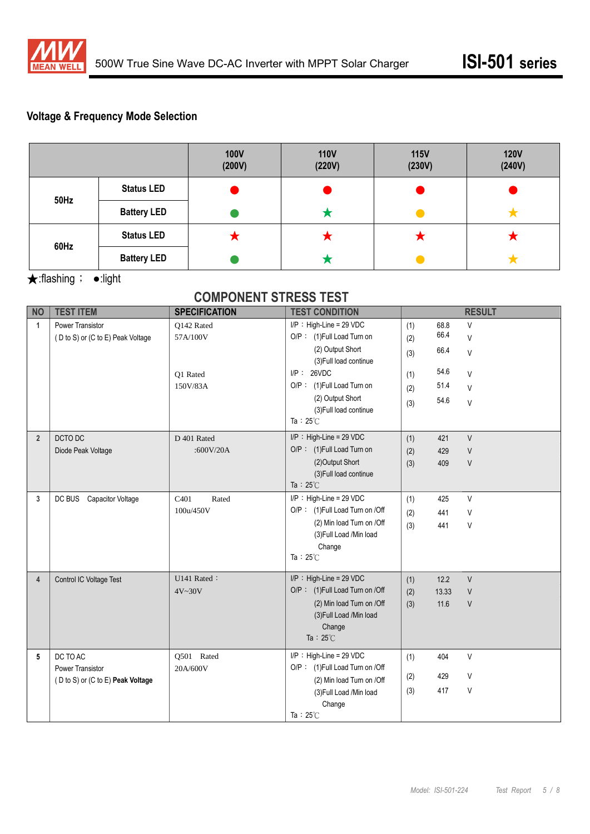

## **Voltage & Frequency Mode Selection**

|             |                    | <b>100V</b><br>(200V) | <b>110V</b><br>(220V) | <b>115V</b><br>(230V) | <b>120V</b><br>(240V) |
|-------------|--------------------|-----------------------|-----------------------|-----------------------|-----------------------|
| <b>50Hz</b> | <b>Status LED</b>  |                       |                       |                       |                       |
|             | <b>Battery LED</b> |                       |                       |                       |                       |
| 60Hz        | <b>Status LED</b>  | ◚                     | ↗                     | ◚                     | ◚                     |
|             | <b>Battery LED</b> |                       |                       |                       |                       |

★:flashing; ●:light

# **COMPONENT STRESS TEST**

| <b>NO</b>      | <b>TEST ITEM</b>                  | <b>SPECIFICATION</b>      | <b>TEST CONDITION</b>                      |     |       | <b>RESULT</b> |
|----------------|-----------------------------------|---------------------------|--------------------------------------------|-----|-------|---------------|
| $\mathbf{1}$   | Power Transistor                  | O142 Rated                | $I/P$ : High-Line = 29 VDC                 | (1) | 68.8  | $\vee$        |
|                | (D to S) or (C to E) Peak Voltage | 57A/100V                  | O/P: (1) Full Load Turn on                 | (2) | 66.4  | $\vee$        |
|                |                                   |                           | (2) Output Short<br>(3) Full load continue | (3) | 66.4  | $\vee$        |
|                |                                   | Q1 Rated                  | $I/P$ : 26VDC                              | (1) | 54.6  | $\vee$        |
|                |                                   | 150V/83A                  | O/P: (1)Full Load Turn on                  | (2) | 51.4  | $\vee$        |
|                |                                   |                           | (2) Output Short                           | (3) | 54.6  | $\vee$        |
|                |                                   |                           | (3) Full load continue                     |     |       |               |
|                |                                   |                           | Ta: $25^{\circ}$ C                         |     |       |               |
| $\overline{2}$ | DCTO DC                           | D 401 Rated               | $I/P$ : High-Line = 29 VDC                 | (1) | 421   | $\vee$        |
|                | Diode Peak Voltage                | :600V/20A                 | O/P: (1)Full Load Turn on                  | (2) | 429   | $\sf V$       |
|                |                                   |                           | (2) Output Short                           | (3) | 409   | $\vee$        |
|                |                                   |                           | (3) Full load continue                     |     |       |               |
|                |                                   |                           | Ta: $25^{\circ}$ C                         |     |       |               |
| 3              | DC BUS<br>Capacitor Voltage       | C <sub>401</sub><br>Rated | $I/P$ : High-Line = 29 VDC                 | (1) | 425   | $\vee$        |
|                |                                   | 100u/450V                 | O/P: (1)Full Load Turn on /Off             | (2) | 441   | V             |
|                |                                   |                           | (2) Min load Turn on /Off                  | (3) | 441   | $\sf V$       |
|                |                                   |                           | (3) Full Load /Min load<br>Change          |     |       |               |
|                |                                   |                           | Ta: $25^{\circ}$ C                         |     |       |               |
|                |                                   |                           |                                            |     |       |               |
| $\overline{4}$ | Control IC Voltage Test           | U141 Rated:               | $I/P$ : High-Line = 29 VDC                 | (1) | 12.2  | $\vee$        |
|                |                                   | 4V~30V                    | O/P: (1)Full Load Turn on /Off             | (2) | 13.33 | $\sf V$       |
|                |                                   |                           | (2) Min load Turn on /Off                  | (3) | 11.6  | $\sf V$       |
|                |                                   |                           | (3) Full Load /Min load                    |     |       |               |
|                |                                   |                           | Change                                     |     |       |               |
|                |                                   |                           | Ta: $25^{\circ}$ C                         |     |       |               |
| 5              | DC TO AC                          | Q501 Rated                | $I/P$ : High-Line = 29 VDC                 | (1) | 404   | $\vee$        |
|                | <b>Power Transistor</b>           | 20A/600V                  | O/P: (1)Full Load Turn on /Off             |     |       |               |
|                | (D to S) or (C to E) Peak Voltage |                           | (2) Min load Turn on /Off                  | (2) | 429   | V             |
|                |                                   |                           | (3) Full Load /Min load                    | (3) | 417   | V             |
|                |                                   |                           | Change                                     |     |       |               |
|                |                                   |                           | Ta: $25^{\circ}$ C                         |     |       |               |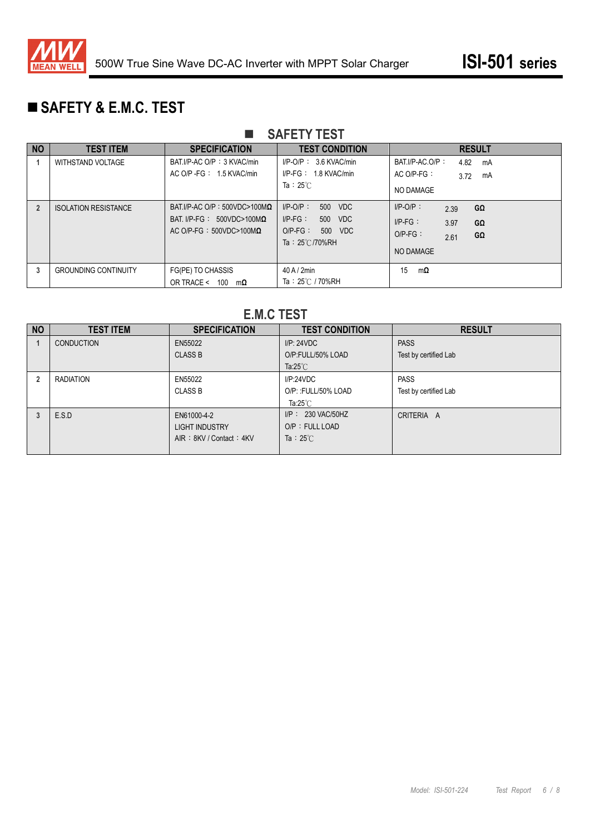

# **SAFETY & E.M.C. TEST**

## **SAFETY TEST**

| <b>NO</b> | <b>TEST ITEM</b>            | <b>SPECIFICATION</b>                                                                                          | <b>TEST CONDITION</b>                                                                                | <b>RESULT</b>                                                                                  |
|-----------|-----------------------------|---------------------------------------------------------------------------------------------------------------|------------------------------------------------------------------------------------------------------|------------------------------------------------------------------------------------------------|
|           | WITHSTAND VOLTAGE           | BAT I/P-AC O/P : 3 KVAC/min<br>AC O/P - FG : 1.5 KVAC/min                                                     | $I/P$ -O/P : 3.6 KVAC/min<br>$I/P-FG: 1.8 KVAC/min$<br>Ta: $25^{\circ}$ C                            | BAT.I/P-AC.O/P:<br>4.82<br>mA<br>$AC$ O/P-FG $\colon$<br>3.72<br>mA<br>NO DAMAGE               |
|           | <b>ISOLATION RESISTANCE</b> | BAT I/P-AC O/P: 500VDC>100M $\Omega$<br>BAT I/P-FG: $500VDC > 100M\Omega$<br>AC O/P-FG: $500VDC > 100M\Omega$ | $I/P-O/P$ :<br>500 VDC<br>$I/P-FG$ :<br>500 VDC<br>$O/P-FG$ :<br>500 VDC<br>Ta: $25^{\circ}$ C/70%RH | $I/P-O/P$ :<br>GΩ<br>2.39<br>$I/P-FG$ :<br>3.97<br>GΩ<br>$O/P-FG$ :<br>GΩ<br>2.61<br>NO DAMAGE |
| 3         | <b>GROUNDING CONTINUITY</b> | FG(PE) TO CHASSIS<br>OR TRACE < $100 \text{ m}\Omega$                                                         | 40A/2min<br>Ta: 25℃ / 70%RH                                                                          | 15<br>mΩ                                                                                       |

### **E.M.C TEST**

| <b>NO</b>      | <b>TEST ITEM</b>  | <b>SPECIFICATION</b>    | <b>TEST CONDITION</b> | <b>RESULT</b>         |
|----------------|-------------------|-------------------------|-----------------------|-----------------------|
|                | <b>CONDUCTION</b> | EN55022                 | I/P: 24VDC            | <b>PASS</b>           |
|                |                   | <b>CLASS B</b>          | O/P:FULL/50% LOAD     | Test by certified Lab |
|                |                   |                         | Ta: $25^{\circ}$ C    |                       |
| $\overline{2}$ | <b>RADIATION</b>  | EN55022                 | IP:24VDC              | <b>PASS</b>           |
|                |                   | <b>CLASS B</b>          | O/P:: FULL/50% LOAD   | Test by certified Lab |
|                |                   |                         | Ta: $25^{\circ}$ C    |                       |
|                | E.S.D             | EN61000-4-2             | $I/P$ : 230 VAC/50HZ  | CRITERIA A            |
|                |                   | <b>LIGHT INDUSTRY</b>   | O/P: FULL LOAD        |                       |
|                |                   | AIR: 8KV / Contact: 4KV | Ta : $25^{\circ}$ C   |                       |
|                |                   |                         |                       |                       |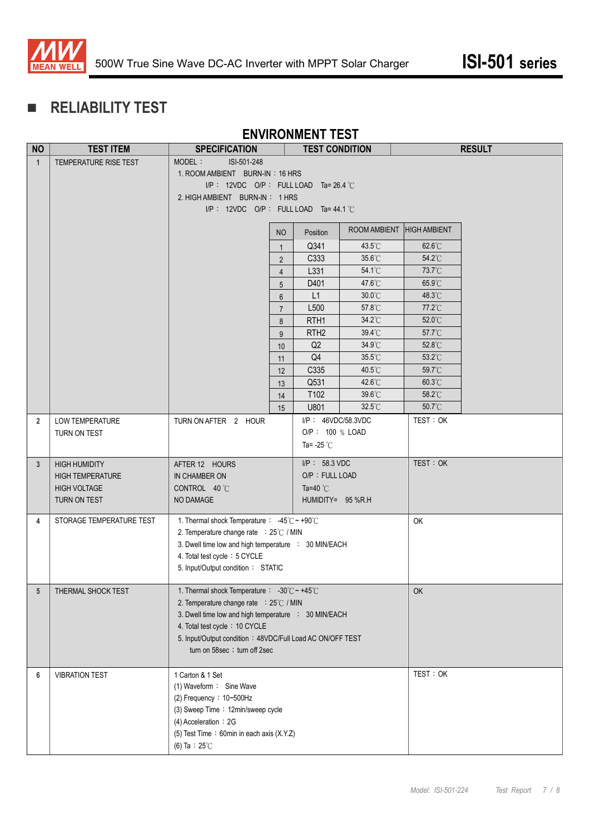

# **RELIABILITY TEST**

# **ENVIRONMENT TEST**

| <b>NO</b>       | <b>TEST ITEM</b>         | <b>SPECIFICATION</b>                                                                       |                  | <b>TEST CONDITION</b> |                  |                     | <b>RESULT</b> |
|-----------------|--------------------------|--------------------------------------------------------------------------------------------|------------------|-----------------------|------------------|---------------------|---------------|
| $\mathbf{1}$    | TEMPERATURE RISE TEST    | MODEL:<br>ISI-501-248                                                                      |                  |                       |                  |                     |               |
|                 |                          | 1. ROOM AMBIENT BURN-IN: 16 HRS                                                            |                  |                       |                  |                     |               |
|                 |                          | $I/P$ : 12VDC O/P : FULL LOAD Ta=26.4 °C                                                   |                  |                       |                  |                     |               |
|                 |                          | 2. HIGH AMBIENT BURN-IN: 1 HRS                                                             |                  |                       |                  |                     |               |
|                 |                          | $I/P$ : 12VDC O/P : FULL LOAD Ta=44.1 °C                                                   |                  |                       |                  |                     |               |
|                 |                          |                                                                                            | <b>NO</b>        | Position              | ROOM AMBIENT     | <b>HIGH AMBIENT</b> |               |
|                 |                          |                                                                                            | $\mathbf{1}$     | Q341                  | 43.5°C           | $62.6^{\circ}$ C    |               |
|                 |                          |                                                                                            | $\overline{2}$   | C333                  | 35.6°C           | 54.2°C              |               |
|                 |                          |                                                                                            | $\overline{4}$   | L331                  | 54.1°C           | 73.7°C              |               |
|                 |                          |                                                                                            | 5                | D401                  | 47.6°C           | 65.9°C              |               |
|                 |                          |                                                                                            | 6                | L1                    | $30.0^{\circ}$ C | 48.3°C              |               |
|                 |                          |                                                                                            | $\overline{7}$   | L500                  | 57.8°C           | $77.2^{\circ}$ C    |               |
|                 |                          |                                                                                            | 8                | RTH <sub>1</sub>      | 34.2°C           | $52.0^{\circ}$ C    |               |
|                 |                          |                                                                                            | 9                | RTH <sub>2</sub>      | $39.4^{\circ}$ C | $57.7^{\circ}$ C    |               |
|                 |                          |                                                                                            | 10               | Q2                    | 34.9°C           | 52.8°C              |               |
|                 |                          |                                                                                            | 11               | Q4                    | $35.5^{\circ}$ C | 53.2°C              |               |
|                 |                          |                                                                                            | 12               | C335                  | 40.5°C           | 59.7°C              |               |
|                 |                          |                                                                                            | 13               | Q531                  | 42.6°C           | $60.3^{\circ}$ C    |               |
|                 |                          |                                                                                            | 14               | T102                  | 39.6°C           | $58.2^{\circ}$ C    |               |
|                 |                          |                                                                                            | 15               | U801                  | $32.5^{\circ}$ C | $50.7^{\circ}$ C    |               |
| $\overline{2}$  | <b>LOW TEMPERATURE</b>   | TURN ON AFTER 2 HOUR                                                                       |                  | I/P: 46VDC/58.3VDC    |                  | TEST: OK            |               |
|                 | TURN ON TEST             |                                                                                            |                  | O/P: 100 % LOAD       |                  |                     |               |
|                 |                          |                                                                                            |                  | Ta= -25 $°C$          |                  |                     |               |
| 3               | <b>HIGH HUMIDITY</b>     | AFTER 12 HOURS                                                                             | $I/P$ : 58.3 VDC |                       |                  | TEST: OK            |               |
|                 | <b>HIGH TEMPERATURE</b>  | IN CHAMBER ON                                                                              |                  | O/P: FULL LOAD        |                  |                     |               |
|                 | <b>HIGH VOLTAGE</b>      | CONTROL 40 °C                                                                              |                  | Ta=40 $^{\circ}$ C    |                  |                     |               |
|                 | TURN ON TEST             | NO DAMAGE                                                                                  |                  | HUMIDITY= 95 %R.H     |                  |                     |               |
| 4               | STORAGE TEMPERATURE TEST | 1. Thermal shock Temperature: -45°C ~ +90°C                                                |                  |                       |                  | OK                  |               |
|                 |                          | 2. Temperature change rate : 25°C / MIN                                                    |                  |                       |                  |                     |               |
|                 |                          | 3. Dwell time low and high temperature : 30 MIN/EACH                                       |                  |                       |                  |                     |               |
|                 |                          | 4. Total test cycle: 5 CYCLE                                                               |                  |                       |                  |                     |               |
|                 |                          | 5. Input/Output condition: STATIC                                                          |                  |                       |                  |                     |               |
|                 |                          |                                                                                            |                  |                       |                  |                     |               |
| $5\phantom{.0}$ | THERMAL SHOCK TEST       | 1. Thermal shock Temperature : $-30^{\circ}$ C ~ +45 $^{\circ}$ C                          |                  |                       |                  | OK                  |               |
|                 |                          | 2. Temperature change rate : 25°C / MIN                                                    |                  |                       |                  |                     |               |
|                 |                          | 3. Dwell time low and high temperature : 30 MIN/EACH<br>4. Total test cycle: 10 CYCLE      |                  |                       |                  |                     |               |
|                 |                          |                                                                                            |                  |                       |                  |                     |               |
|                 |                          | 5. Input/Output condition: 48VDC/Full Load AC ON/OFF TEST<br>turn on 58sec ; turn off 2sec |                  |                       |                  |                     |               |
|                 |                          |                                                                                            |                  |                       |                  |                     |               |
| 6               | <b>VIBRATION TEST</b>    | 1 Carton & 1 Set                                                                           |                  |                       |                  | TEST: OK            |               |
|                 |                          | (1) Waveform : Sine Wave                                                                   |                  |                       |                  |                     |               |
|                 |                          | (2) Frequency: 10~500Hz                                                                    |                  |                       |                  |                     |               |
|                 |                          | (3) Sweep Time: 12min/sweep cycle                                                          |                  |                       |                  |                     |               |
|                 |                          | (4) Acceleration : 2G                                                                      |                  |                       |                  |                     |               |
|                 |                          | (5) Test Time: 60min in each axis (X.Y.Z)                                                  |                  |                       |                  |                     |               |
|                 |                          | (6) Ta : $25^{\circ}$ C                                                                    |                  |                       |                  |                     |               |